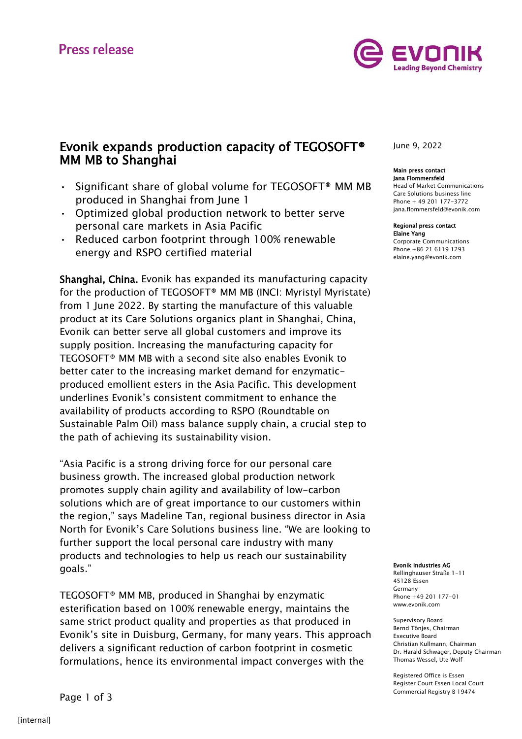

## Evonik expands production capacity of TEGOSOFT® MM MB to Shanghai

- Significant share of global volume for TEGOSOFT® MM MB produced in Shanghai from June 1
- Optimized global production network to better serve personal care markets in Asia Pacific
- Reduced carbon footprint through 100% renewable energy and RSPO certified material

Shanghai, China. Evonik has expanded its manufacturing capacity for the production of TEGOSOFT® MM MB (INCI: Myristyl Myristate) from 1 June 2022. By starting the manufacture of this valuable product at its Care Solutions organics plant in Shanghai, China, Evonik can better serve all global customers and improve its supply position. Increasing the manufacturing capacity for TEGOSOFT® MM MB with a second site also enables Evonik to better cater to the increasing market demand for enzymaticproduced emollient esters in the Asia Pacific. This development underlines Evonik's consistent commitment to enhance the availability of products according to RSPO (Roundtable on Sustainable Palm Oil) mass balance supply chain, a crucial step to the path of achieving its sustainability vision.

"Asia Pacific is a strong driving force for our personal care business growth. The increased global production network promotes supply chain agility and availability of low-carbon solutions which are of great importance to our customers within the region," says Madeline Tan, regional business director in Asia North for Evonik's Care Solutions business line. "We are looking to further support the local personal care industry with many products and technologies to help us reach our sustainability goals."

TEGOSOFT® MM MB, produced in Shanghai by enzymatic esterification based on 100% renewable energy, maintains the same strict product quality and properties as that produced in Evonik's site in Duisburg, Germany, for many years. This approach delivers a significant reduction of carbon footprint in cosmetic formulations, hence its environmental impact converges with the

June 9, 2022

#### Main press contact Jana Flommersfeld

Head of Market Communications Care Solutions business line Phone + 49 201 177-3772 jana.flommersfeld@evonik.com

#### Regional press contact Elaine Yang

Corporate Communications Phone +86 21 6119 1293 [elaine.yang@evonik.com](mailto:juergen.krauter@evonik.com)

#### Evonik Industries AG

Rellinghauser Straße 1-11 45128 Essen Germany Phone +49 201 177-01 www.evonik.com

Supervisory Board Bernd Tönjes, Chairman Executive Board Christian Kullmann, Chairman Dr. Harald Schwager, Deputy Chairman Thomas Wessel, Ute Wolf

Registered Office is Essen Register Court Essen Local Court Commercial Registry B 19474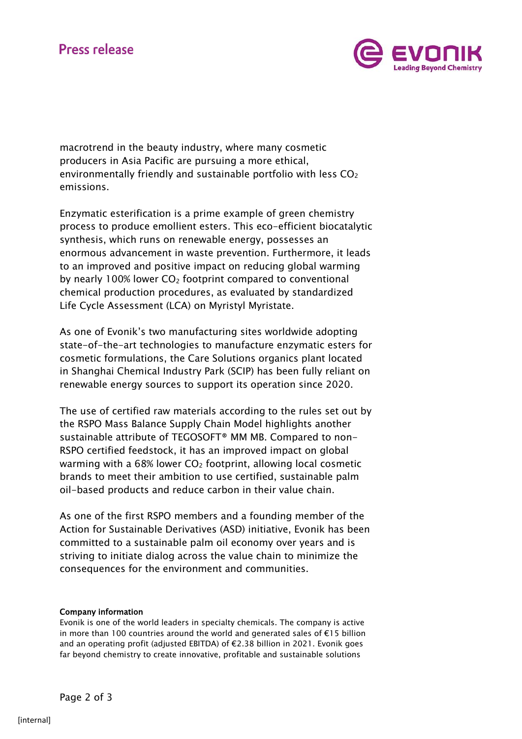

macrotrend in the beauty industry, where many cosmetic producers in Asia Pacific are pursuing a more ethical, environmentally friendly and sustainable portfolio with less  $CO<sub>2</sub>$ emissions.

Enzymatic esterification is a prime example of green chemistry process to produce emollient esters. This eco-efficient biocatalytic synthesis, which runs on renewable energy, possesses an enormous advancement in waste prevention. Furthermore, it leads to an improved and positive impact on reducing global warming by nearly 100% lower  $CO<sub>2</sub>$  footprint compared to conventional chemical production procedures, as evaluated by standardized Life Cycle Assessment (LCA) on Myristyl Myristate.

As one of Evonik's two manufacturing sites worldwide adopting state-of-the-art technologies to manufacture enzymatic esters for cosmetic formulations, the Care Solutions organics plant located in Shanghai Chemical Industry Park (SCIP) has been fully reliant on renewable energy sources to support its operation since 2020.

The use of certified raw materials according to the rules set out by the RSPO Mass Balance Supply Chain Model highlights another sustainable attribute of TEGOSOFT® MM MB. Compared to non-RSPO certified feedstock, it has an improved impact on global warming with a 68% lower  $CO<sub>2</sub>$  footprint, allowing local cosmetic brands to meet their ambition to use certified, sustainable palm oil-based products and reduce carbon in their value chain.

As one of the first RSPO members and a founding member of the Action for Sustainable Derivatives (ASD) initiative, Evonik has been committed to a sustainable palm oil economy over years and is striving to initiate dialog across the value chain to minimize the consequences for the environment and communities.

## Company information

Evonik is one of the world leaders in specialty chemicals. The company is active in more than 100 countries around the world and generated sales of €15 billion and an operating profit (adjusted EBITDA) of €2.38 billion in 2021. Evonik goes far beyond chemistry to create innovative, profitable and sustainable solutions